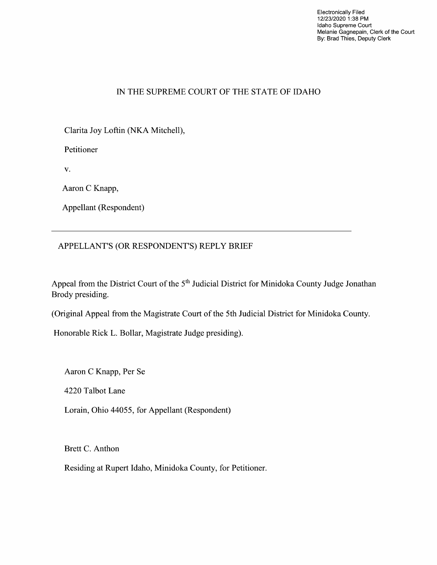Electronically Filed 12/23/2020 1:38 PM Idaho Supreme Court Melanie Gagnepain, Clerk of the Court By: Brad Thies, Deputy Clerk

### IN THE SUPREME COURT OF THE STATE OF IDAHO

Clarita Joy Loftin (NKA Mitchell),

Petitioner

V.

Aaron C Knapp,

Appellant (Respondent)

#### APPELLANT'S (OR RESPONDENT'S) REPLY BRIEF

Appeal from the District Court of the 5<sup>th</sup> Judicial District for Minidoka County Judge Jonathan Brody presiding.

(Original Appeal from the Magistrate Court of the 5th Judicial District for Minidoka County.

Honorable Rick L. Bollar, Magistrate Judge presiding).

Aaron C Knapp, Per Se

4220 Talbot Lane

Lorain, Ohio 44055, for Appellant (Respondent)

Brett C. Anthon

Residing at Rupert Idaho, Minidoka County, for Petitioner.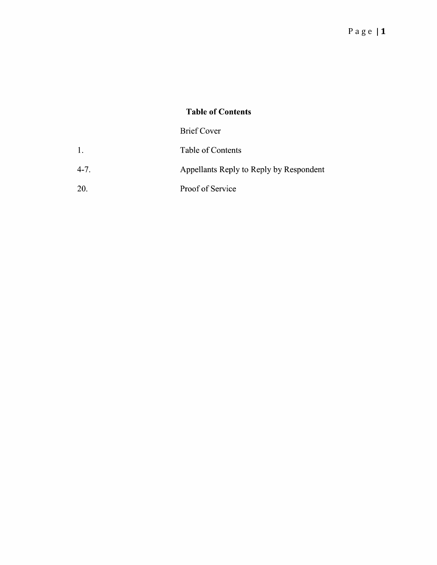# Table 0f Contents

# Brief Cover

|        | Table of Contents                       |
|--------|-----------------------------------------|
| $4-7.$ | Appellants Reply to Reply by Respondent |

20. Proof 0f Service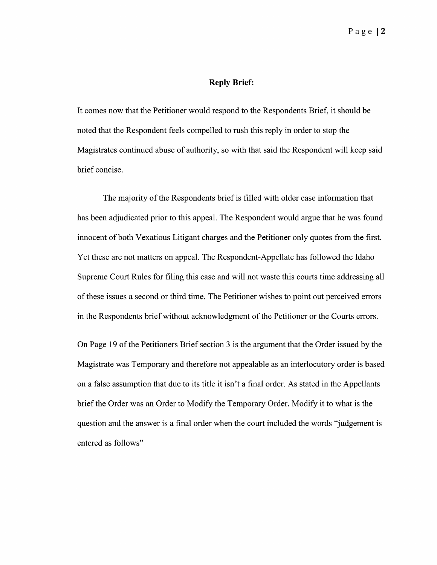#### Reply Brief:

It comes now that the Petitioner would respond to the Respondents Brief, it should be noted that the Respondent feels compelled to rush this reply in order to stop the Magistrates continued abuse of authority, so with that said the Respondent Will keep said brief concise.

The majority of the Respondents brief is filled with older case information that has been adjudicated prior to this appeal. The Respondent would argue that he was found innocent 0f both Vexatious Litigant charges and the Petitioner only quotes from the first. Yet these are not matters on appeal. The Respondent-Appellate has followed the Idaho Supreme Court Rules for filing this case and Will not waste this courts time addressing all 0f these issues second 0r third time. The Petitioner wishes to point out perceived errors in the Respondents brief Without acknowledgment of the Petitioner or the Courts errors.

On Page 19 of the Petitioners Brief section 3 is the argument that the Order issued by the Magistrate was Temporary and therefore not appealable as an interlocutory order is based on a false assumption that due to its title it isn't a final order. As stated in the Appellants brief the Order was an Order to Modify the Temporary Order. Modify it to what is the question and the answer is a final order when the court included the words "judgement is entered as follows"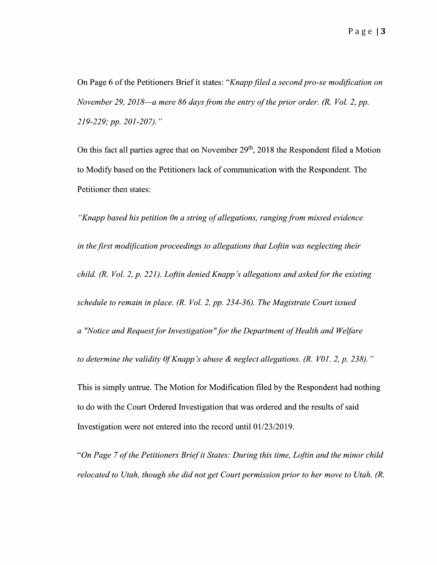On Page 6 of the Petitioners Brief it states: "Knapp filed a second pro-se modification on November 29, 2018—a mere 86 days from the entry of the prior order. (R. Vol. 2, pp. 219—229; pp. 201—207).

On this fact all parties agree that on November  $29<sup>th</sup>$ , 2018 the Respondent filed a Motion to Modify based on the Petitioners lack of communication with the Respondent. The Petitioner then states:

"Knapp based his petition 0n a string of allegations, ranging from missed evidence in the first modification proceedings to allegations that Loftin was neglecting their child.  $(R. Vol. 2, p. 221)$ . Loftin denied Knapp's allegations and asked for the existing schedule to remain in place. (R. Vol. 2, pp. 234-36). The Magistrate Court issued a "Notice and Request for Investigation" for the Department of Health and Welfare to determine the validity 0f Knapp's abuse & neglect allegations. (R. V01. 2, p. 238)." This is simply untrue. The Motion for Modification filed by the Respondent had nothing to do with the Court Ordered Investigation that was ordered and the results of said Investigation were not entered into the record until 01/23/2019.

"On Page 7 of the Petitioners Brief it States: During this time, Loftin and the minor child relocated to Utah, though she did not get Court permission prior to her move to Utah.  $(R)$ .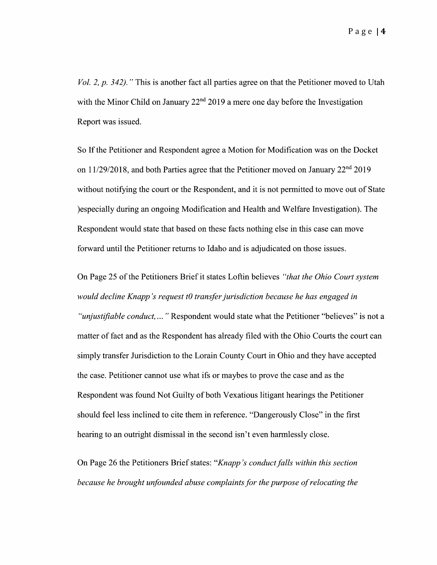Page|4

Vol. 2,  $p. 342$ ). "This is another fact all parties agree on that the Petitioner moved to Utah with the Minor Child on January 22<sup>nd</sup> 2019 a mere one day before the Investigation Report was issued.

So If the Petitioner and Respondent agree a Motion for Modification was on the Docket on 11/29/2018, and both Parties agree that the Petitioner moved on January 22<sup>nd</sup> 2019 without notifying the court or the Respondent, and it is not permitted to move out of State )especially during an ongoing Modification and Health and Welfare Investigation). The Respondent would state that based on these facts nothing else in this case can move forward until the Petitioner returns to Idaho and is adjudicated on those issues.

On Page 25 of the Petitioners Brief it states Loftin believes "that the Ohio Court system would decline Knapp's request t0 transfer jurisdiction because he has engaged in "unjustifiable conduct, ..." Respondent would state what the Petitioner "believes" is not a matter of fact and as the Respondent has already filed with the Ohio Courts the court can simply transfer Jurisdiction to the Lorain County Court in Ohio and they have accepted the case. Petitioner cannot use what ifs 0r maybes to prove the case and as the Respondent was found Not Guilty of both Vexatious litigant hearings the Petitioner should feel less inclined to cite them in reference. "Dangerously Close" in the first hearing to an outright dismissal in the second isn't even harmlessly close.

On Page 26 the Petitioners Brief states: "Knapp's conduct falls within this section because he brought unfounded abuse complaints for the purpose of relocating the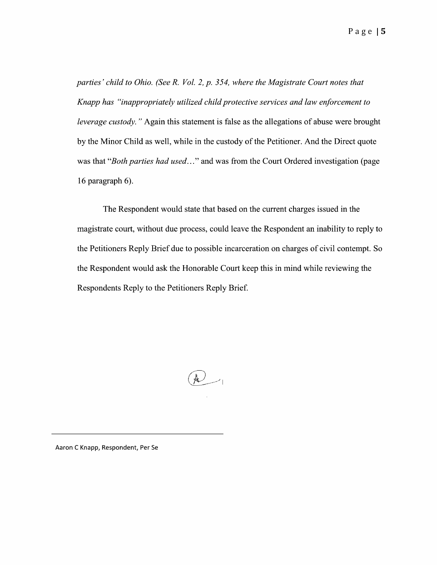parties' child to Ohio. (See R. Vol. 2, p. 354, where the Magistrate Court notes that Knapp has "inappropriately utilized child protective services and law enforcement to leverage custody." Again this statement is false as the allegations of abuse were brought by the Minor Child as well, while in the custody 0f the Petitioner. And the Direct quote was that "*Both parties had used*..." and was from the Court Ordered investigation (page 16 paragraph 6).

The Respondent would state that based 0n the current charges issued in the magistrate court, without due process, could leave the Respondent an inability to reply to the Petitioners Reply Brief due to possible incarceration on charges of civil contempt. So the Respondent would ask the Honorable Court keep this in mind while reviewing the Respondents Reply to the Petitioners Reply Brief.

 $\mathbb{R}_{+}$ 

Aaron C Knapp, Respondent, Per Se